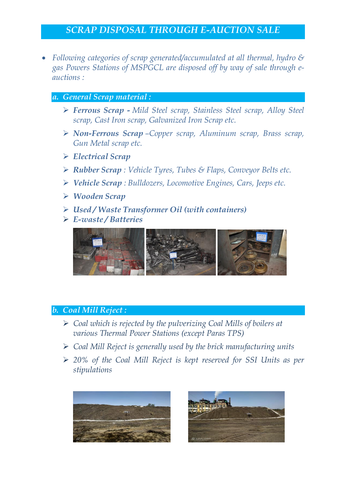# *SCRAP DISPOSAL THROUGH E-AUCTION SALE*

 *Following categories of scrap generated/accumulated at all thermal, hydro & gas Powers Stations of MSPGCL are disposed off by way of sale through eauctions :*

#### *a. General Scrap material :*

- *Ferrous Scrap - Mild Steel scrap, Stainless Steel scrap, Alloy Steel scrap, Cast Iron scrap, Galvanized Iron Scrap etc.*
- *Non-Ferrous Scrap –Copper scrap, Aluminum scrap, Brass scrap, Gun Metal scrap etc.*
- *Electrical Scrap*
- *Rubber Scrap : Vehicle Tyres, Tubes & Flaps, Conveyor Belts etc.*
- *Vehicle Scrap : Bulldozers, Locomotive Engines, Cars, Jeeps etc.*
- *Wooden Scrap*
- *Used / Waste Transformer Oil (with containers)*
- *E-waste / Batteries*



#### *b. Coal Mill Reject :*

- *Coal which is rejected by the pulverizing Coal Mills of boilers at various Thermal Power Stations (except Paras TPS)*
- *Coal Mill Reject is generally used by the brick manufacturing units*
- *20% of the Coal Mill Reject is kept reserved for SSI Units as per stipulations*



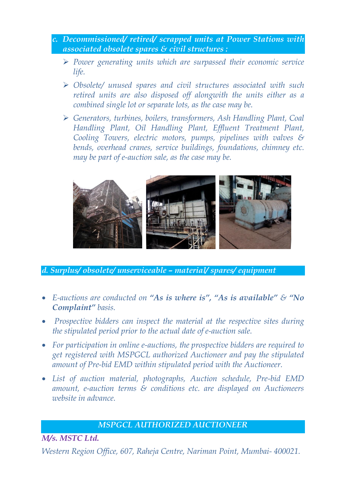- *c. Decommissioned/ retired/ scrapped units at Power Stations with associated obsolete spares & civil structures :*
	- *Power generating units which are surpassed their economic service life.*
	- *Obsolete/ unused spares and civil structures associated with such retired units are also disposed off alongwith the units either as a combined single lot or separate lots, as the case may be.*
	- *Generators, turbines, boilers, transformers, Ash Handling Plant, Coal Handling Plant, Oil Handling Plant, Effluent Treatment Plant, Cooling Towers, electric motors, pumps, pipelines with valves & bends, overhead cranes, service buildings, foundations, chimney etc. may be part of e-auction sale, as the case may be.*



*d. Surplus/ obsolete/ unserviceable – material/ spares/ equipment*

- *E-auctions are conducted on "As is where is", "As is available" & "No Complaint" basis.*
- *Prospective bidders can inspect the material at the respective sites during the stipulated period prior to the actual date of e-auction sale.*
- *For participation in online e-auctions, the prospective bidders are required to get registered with MSPGCL authorized Auctioneer and pay the stipulated amount of Pre-bid EMD within stipulated period with the Auctioneer.*
- *List of auction material, photographs, Auction schedule, Pre-bid EMD amount, e-auction terms & conditions etc. are displayed on Auctioneers website in advance.*

### *MSPGCL AUTHORIZED AUCTIONEER*

*M/s. MSTC Ltd.*

*Western Region Office, 607, Raheja Centre, Nariman Point, Mumbai- 400021.*